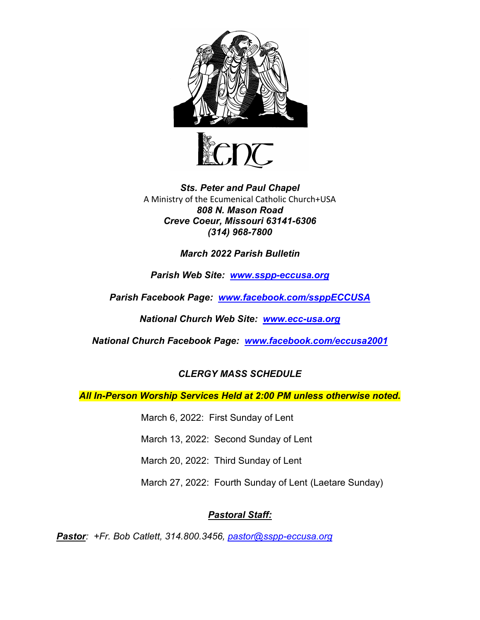



### *Sts. Peter and Paul Chapel* A Ministry of the Ecumenical Catholic Church+USA *808 N. Mason Road Creve Coeur, Missouri 63141-6306 (314) 968-7800*

### *March 2022 Parish Bulletin*

*Parish Web Site: [www.sspp-eccusa.org](http://www.sspp-eccusa.org/)*

*Parish Facebook Page: [www.facebook.com/ssppECCUSA](http://www.facebook.com/ssppECCUSA)*

*National Church Web Site: [www.ecc-usa.org](http://www.ecc-usa.org/)*

*National Church Facebook Page: [www.facebook.com/eccusa2001](http://www.facebook.com/eccusa2001)*

# *CLERGY MASS SCHEDULE*

*All In-Person Worship Services Held at 2:00 PM unless otherwise noted.*

March 6, 2022: First Sunday of Lent

March 13, 2022: Second Sunday of Lent

March 20, 2022: Third Sunday of Lent

March 27, 2022: Fourth Sunday of Lent (Laetare Sunday)

# *Pastoral Staff:*

*Pastor: +Fr. Bob Catlett, 314.800.3456, [pastor@sspp-eccusa.org](mailto:pastor@sspp-eccusa.org)*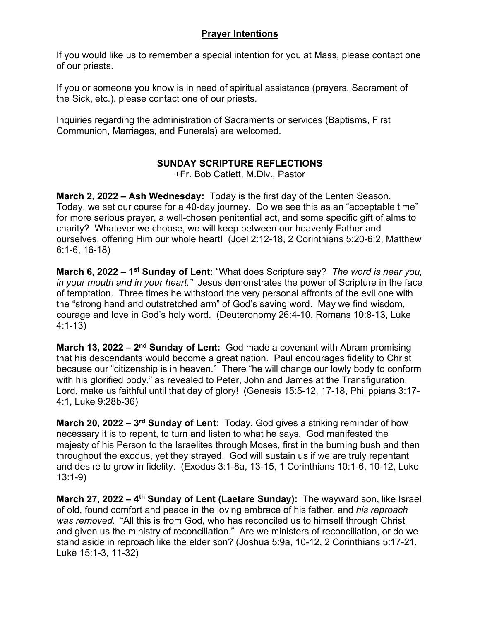### **Prayer Intentions**

If you would like us to remember a special intention for you at Mass, please contact one of our priests.

If you or someone you know is in need of spiritual assistance (prayers, Sacrament of the Sick, etc.), please contact one of our priests.

Inquiries regarding the administration of Sacraments or services (Baptisms, First Communion, Marriages, and Funerals) are welcomed.

# **SUNDAY SCRIPTURE REFLECTIONS**

+Fr. Bob Catlett, M.Div., Pastor

**March 2, 2022 – Ash Wednesday:** Today is the first day of the Lenten Season. Today, we set our course for a 40-day journey. Do we see this as an "acceptable time" for more serious prayer, a well-chosen penitential act, and some specific gift of alms to charity? Whatever we choose, we will keep between our heavenly Father and ourselves, offering Him our whole heart! (Joel 2:12-18, 2 Corinthians 5:20-6:2, Matthew 6:1-6, 16-18)

**March 6, 2022 – 1st Sunday of Lent:** "What does Scripture say? *The word is near you, in your mouth and in your heart."* Jesus demonstrates the power of Scripture in the face of temptation. Three times he withstood the very personal affronts of the evil one with the "strong hand and outstretched arm" of God's saving word. May we find wisdom, courage and love in God's holy word. (Deuteronomy 26:4-10, Romans 10:8-13, Luke 4:1-13)

**March 13, 2022 – 2nd Sunday of Lent:** God made a covenant with Abram promising that his descendants would become a great nation. Paul encourages fidelity to Christ because our "citizenship is in heaven." There "he will change our lowly body to conform with his glorified body," as revealed to Peter, John and James at the Transfiguration. Lord, make us faithful until that day of glory! (Genesis 15:5-12, 17-18, Philippians 3:17- 4:1, Luke 9:28b-36)

**March 20, 2022 – 3rd Sunday of Lent:** Today, God gives a striking reminder of how necessary it is to repent, to turn and listen to what he says. God manifested the majesty of his Person to the Israelites through Moses, first in the burning bush and then throughout the exodus, yet they strayed. God will sustain us if we are truly repentant and desire to grow in fidelity. (Exodus 3:1-8a, 13-15, 1 Corinthians 10:1-6, 10-12, Luke 13:1-9)

**March 27, 2022 – 4th Sunday of Lent (Laetare Sunday):** The wayward son, like Israel of old, found comfort and peace in the loving embrace of his father, and *his reproach was removed.* "All this is from God, who has reconciled us to himself through Christ and given us the ministry of reconciliation." Are we ministers of reconciliation, or do we stand aside in reproach like the elder son? (Joshua 5:9a, 10-12, 2 Corinthians 5:17-21, Luke 15:1-3, 11-32)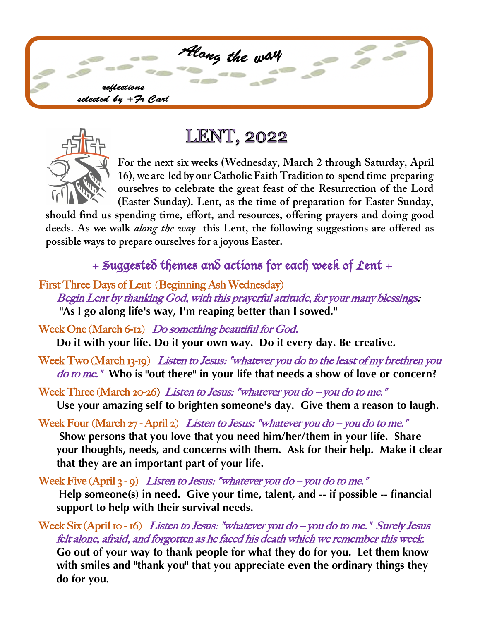



# **LENT, 2022**

**For the next six weeks (Wednesday, March 2 through Saturday, April 16), we are led by our Catholic Faith Tradition to spend time preparing ourselves to celebrate the great feast of the Resurrection of the Lord (Easter Sunday). Lent, as the time of preparation for Easter Sunday,** 

**should find us spending time, effort, and resources, offering prayers and doing good deeds. As we walk** *along the way* **this Lent, the following suggestions are offered as possible ways to prepare ourselves for a joyous Easter.** 

# $+$  Suggested themes and actions for each week of Lent +

First Three Days of Lent (Beginning Ash Wednesday) Begin Lent by thanking God, with this prayerful attitude, for your many blessings: **"As I go along life's way, I'm reaping better than I sowed."**

Week One (March 6-12) Do something beautiful for God. **Do it with your life. Do it your own way. Do it every day. Be creative.** 

Week Two (March 13-19) Listen to Jesus: "whatever you do to the least of my brethren you do to me." **Who is "out there" in your life that needs a show of love or concern?**

Week Three (March 20-26) Listen to Jesus: "whatever you do  $-$  you do to me." **Use your amazing self to brighten someone's day. Give them a reason to laugh.**

Week Four (March  $27$ -April 2) Listen to Jesus: "whatever you do -- you do to me." **Show persons that you love that you need him/her/them in your life. Share your thoughts, needs, and concerns with them. Ask for their help. Make it clear that they are an important part of your life.**

Week Five  $(Apri 3 - 9)$  Listen to Jesus: "whatever you do --you do to me." **Help someone(s) in need. Give your time, talent, and -- if possible -- financial support to help with their survival needs.** 

Week Six (April 10 - 16) Listen to Jesus: "whatever you do  $-$  you do to me." Surely Jesus felt alone, afraid, and forgotten as he faced his death which we remember this week. **Go out of your way to thank people for what they do for you. Let them know with smiles and "thank you" that you appreciate even the ordinary things they do for you.**